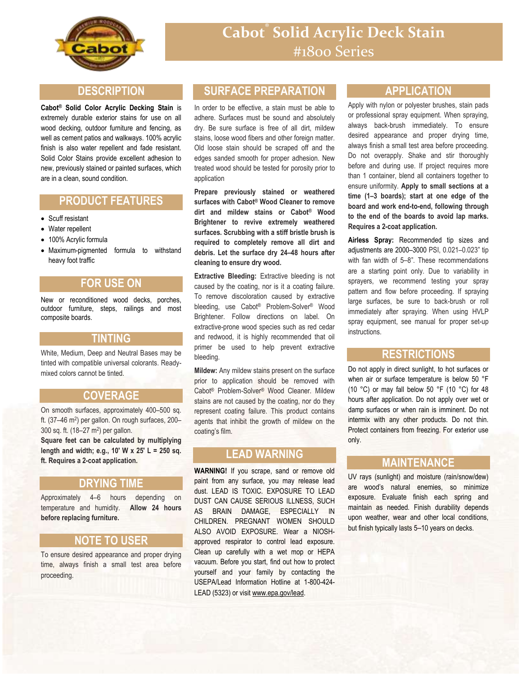

### **DESCRIPTION**

**Cabot® Solid Color Acrylic Decking Stain** is extremely durable exterior stains for use on all wood decking, outdoor furniture and fencing, as well as cement patios and walkways. 100% acrylic finish is also water repellent and fade resistant. Solid Color Stains provide excellent adhesion to new, previously stained or painted surfaces, which are in a clean, sound condition.

# **PRODUCT FEATURES**

- Scuff resistant
- Water repellent
- 100% Acrylic formula
- Maximum-pigmented formula to withstand heavy foot traffic

## **FOR USE ON**

New or reconditioned wood decks, porches, outdoor furniture, steps, railings and most composite boards.

#### **TINTING**

White, Medium, Deep and Neutral Bases may be tinted with compatible universal colorants. Readymixed colors cannot be tinted.

### **COVERAGE**

On smooth surfaces, approximately 400–500 sq. ft. (37–46 m<sup>2</sup>) per gallon. On rough surfaces, 200– 300 sq. ft. (18-27 m<sup>2</sup>) per gallon.

**Square feet can be calculated by multiplying length and width; e.g., 10' W x 25' L = 250 sq. ft. Requires a 2-coat application.**

### **DRYING TIME**

Approximately 4–6 hours depending on temperature and humidity. **Allow 24 hours before replacing furniture.**

### **NOTE TO USER**

To ensure desired appearance and proper drying time, always finish a small test area before proceeding.

## **SURFACE PREPARATION**

In order to be effective, a stain must be able to adhere. Surfaces must be sound and absolutely dry. Be sure surface is free of all dirt, mildew stains, loose wood fibers and other foreign matter. Old loose stain should be scraped off and the edges sanded smooth for proper adhesion. New treated wood should be tested for porosity prior to application

**Prepare previously stained or weathered surfaces with Cabot® Wood Cleaner to remove dirt and mildew stains or Cabot® Wood Brightener to revive extremely weathered surfaces. Scrubbing with a stiff bristle brush is required to completely remove all dirt and debris. Let the surface dry 24–48 hours after cleaning to ensure dry wood.**

**Extractive Bleeding:** Extractive bleeding is not caused by the coating, nor is it a coating failure. To remove discoloration caused by extractive bleeding, use Cabot® Problem-Solver® Wood Brightener. Follow directions on label. On extractive-prone wood species such as red cedar and redwood, it is highly recommended that oil primer be used to help prevent extractive bleeding.

**Mildew:** Any mildew stains present on the surface prior to application should be removed with Cabot® Problem-Solver® Wood Cleaner. Mildew stains are not caused by the coating, nor do they represent coating failure. This product contains agents that inhibit the growth of mildew on the coating's film.

## **LEAD WARNING**

**WARNING!** If you scrape, sand or remove old paint from any surface, you may release lead dust. LEAD IS TOXIC. EXPOSURE TO LEAD DUST CAN CAUSE SERIOUS ILLNESS, SUCH AS BRAIN DAMAGE, ESPECIALLY IN CHILDREN. PREGNANT WOMEN SHOULD ALSO AVOID EXPOSURE. Wear a NIOSHapproved respirator to control lead exposure. Clean up carefully with a wet mop or HEPA vacuum. Before you start, find out how to protect yourself and your family by contacting the USEPA/Lead Information Hotline at 1-800-424- LEAD (5323) or visit www.epa.gov/lead.

## **APPLICATION**

Apply with nylon or polyester brushes, stain pads or professional spray equipment. When spraying, always back-brush immediately. To ensure desired appearance and proper drying time, always finish a small test area before proceeding. Do not overapply. Shake and stir thoroughly before and during use. If project requires more than 1 container, blend all containers together to ensure uniformity. **Apply to small sections at a time (1–3 boards); start at one edge of the board and work end-to-end, following through to the end of the boards to avoid lap marks. Requires a 2-coat application.**

**Airless Spray:** Recommended tip sizes and adjustments are 2000–3000 PSI, 0.021–0.023" tip with fan width of 5–8". These recommendations are a starting point only. Due to variability in sprayers, we recommend testing your spray pattern and flow before proceeding. If spraying large surfaces, be sure to back-brush or roll immediately after spraying. When using HVLP spray equipment, see manual for proper set-up instructions.

### **RESTRICTIONS**

Do not apply in direct sunlight, to hot surfaces or when air or surface temperature is below 50 °F (10 °C) or may fall below 50 °F (10 °C) for 48 hours after application. Do not apply over wet or damp surfaces or when rain is imminent. Do not intermix with any other products. Do not thin. Protect containers from freezing. For exterior use only.

### **MAINTENANCE**

UV rays (sunlight) and moisture (rain/snow/dew) are wood's natural enemies, so minimize exposure. Evaluate finish each spring and maintain as needed. Finish durability depends upon weather, wear and other local conditions, but finish typically lasts 5–10 years on decks.